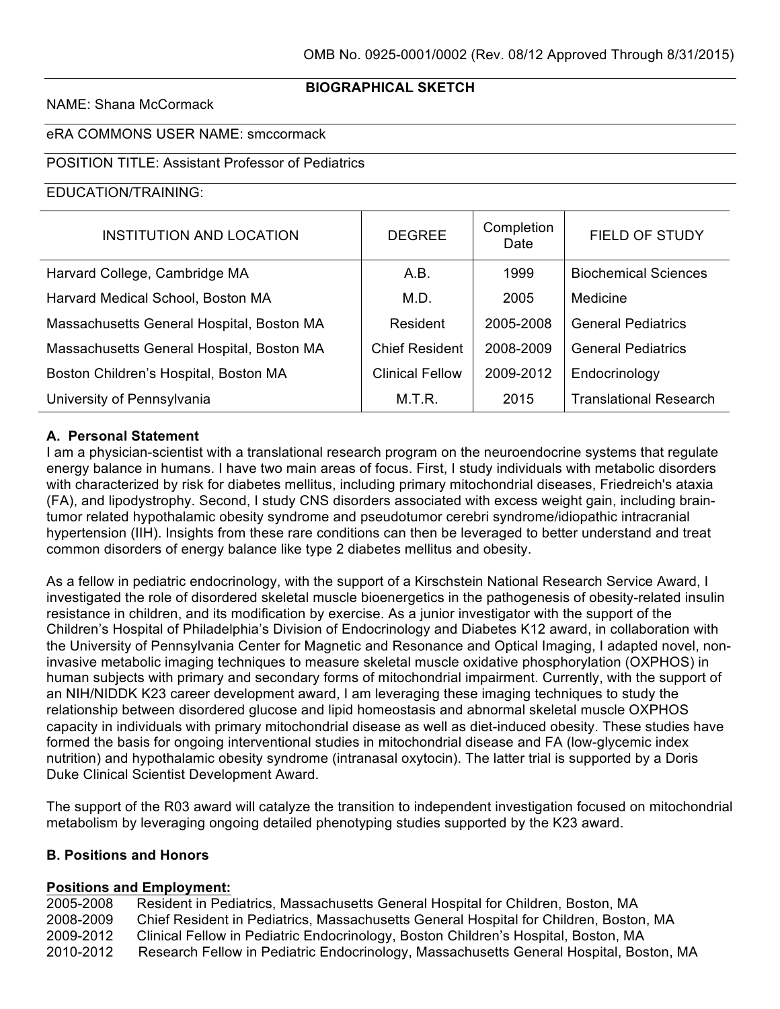## **BIOGRAPHICAL SKETCH**

#### NAME: Shana McCormack

### eRA COMMONS USER NAME: smccormack

### POSITION TITLE: Assistant Professor of Pediatrics

#### EDUCATION/TRAINING:

| <b>INSTITUTION AND LOCATION</b>           | <b>DEGREE</b>         | Completion<br>Date | FIELD OF STUDY                |
|-------------------------------------------|-----------------------|--------------------|-------------------------------|
| Harvard College, Cambridge MA             | A.B.                  | 1999               | <b>Biochemical Sciences</b>   |
| Harvard Medical School, Boston MA         | M.D.                  | 2005               | Medicine                      |
| Massachusetts General Hospital, Boston MA | Resident              | 2005-2008          | <b>General Pediatrics</b>     |
| Massachusetts General Hospital, Boston MA | <b>Chief Resident</b> | 2008-2009          | <b>General Pediatrics</b>     |
| Boston Children's Hospital, Boston MA     | Clinical Fellow       | 2009-2012          | Endocrinology                 |
| University of Pennsylvania                | M.T.R.                | 2015               | <b>Translational Research</b> |

### **A. Personal Statement**

I am a physician-scientist with a translational research program on the neuroendocrine systems that regulate energy balance in humans. I have two main areas of focus. First, I study individuals with metabolic disorders with characterized by risk for diabetes mellitus, including primary mitochondrial diseases, Friedreich's ataxia (FA), and lipodystrophy. Second, I study CNS disorders associated with excess weight gain, including braintumor related hypothalamic obesity syndrome and pseudotumor cerebri syndrome/idiopathic intracranial hypertension (IIH). Insights from these rare conditions can then be leveraged to better understand and treat common disorders of energy balance like type 2 diabetes mellitus and obesity.

As a fellow in pediatric endocrinology, with the support of a Kirschstein National Research Service Award, I investigated the role of disordered skeletal muscle bioenergetics in the pathogenesis of obesity-related insulin resistance in children, and its modification by exercise. As a junior investigator with the support of the Children's Hospital of Philadelphia's Division of Endocrinology and Diabetes K12 award, in collaboration with the University of Pennsylvania Center for Magnetic and Resonance and Optical Imaging, I adapted novel, noninvasive metabolic imaging techniques to measure skeletal muscle oxidative phosphorylation (OXPHOS) in human subjects with primary and secondary forms of mitochondrial impairment. Currently, with the support of an NIH/NIDDK K23 career development award, I am leveraging these imaging techniques to study the relationship between disordered glucose and lipid homeostasis and abnormal skeletal muscle OXPHOS capacity in individuals with primary mitochondrial disease as well as diet-induced obesity. These studies have formed the basis for ongoing interventional studies in mitochondrial disease and FA (low-glycemic index nutrition) and hypothalamic obesity syndrome (intranasal oxytocin). The latter trial is supported by a Doris Duke Clinical Scientist Development Award.

The support of the R03 award will catalyze the transition to independent investigation focused on mitochondrial metabolism by leveraging ongoing detailed phenotyping studies supported by the K23 award.

### **B. Positions and Honors**

#### **Positions and Employment:**

2005-2008 Resident in Pediatrics, Massachusetts General Hospital for Children, Boston, MA 2008-2009 Chief Resident in Pediatrics, Massachusetts General Hospital for Children, Boston, MA 2009-2012 Clinical Fellow in Pediatric Endocrinology, Boston Children's Hospital, Boston, MA 2010-2012 Research Fellow in Pediatric Endocrinology, Massachusetts General Hospital, Boston, MA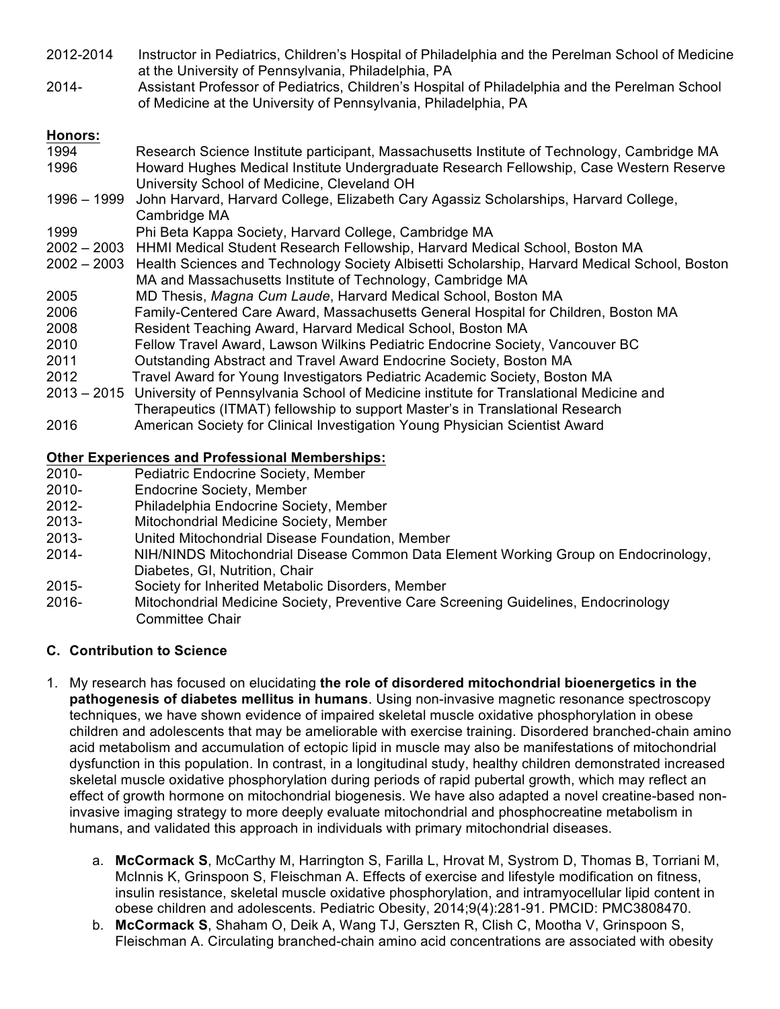- 2012-2014 Instructor in Pediatrics, Children's Hospital of Philadelphia and the Perelman School of Medicine at the University of Pennsylvania, Philadelphia, PA
- 2014- Assistant Professor of Pediatrics, Children's Hospital of Philadelphia and the Perelman School of Medicine at the University of Pennsylvania, Philadelphia, PA

# **Honors:**

- 1994 Research Science Institute participant, Massachusetts Institute of Technology, Cambridge MA 1996 Howard Hughes Medical Institute Undergraduate Research Fellowship, Case Western Reserve University School of Medicine, Cleveland OH
- 1996 1999 John Harvard, Harvard College, Elizabeth Cary Agassiz Scholarships, Harvard College, Cambridge MA
- 1999 Phi Beta Kappa Society, Harvard College, Cambridge MA
- 2002 2003 HHMI Medical Student Research Fellowship, Harvard Medical School, Boston MA
- 2002 2003 Health Sciences and Technology Society Albisetti Scholarship, Harvard Medical School, Boston MA and Massachusetts Institute of Technology, Cambridge MA
- 2005 MD Thesis, *Magna Cum Laude*, Harvard Medical School, Boston MA
- 2006 Family-Centered Care Award, Massachusetts General Hospital for Children, Boston MA
- 2008 Resident Teaching Award, Harvard Medical School, Boston MA
- 2010 Fellow Travel Award, Lawson Wilkins Pediatric Endocrine Society, Vancouver BC
- 2011 Outstanding Abstract and Travel Award Endocrine Society, Boston MA
- 2012 Travel Award for Young Investigators Pediatric Academic Society, Boston MA
- 2013 2015 University of Pennsylvania School of Medicine institute for Translational Medicine and Therapeutics (ITMAT) fellowship to support Master's in Translational Research
- 2016 American Society for Clinical Investigation Young Physician Scientist Award

# **Other Experiences and Professional Memberships:**

- 2010- Pediatric Endocrine Society, Member
- 2010- Endocrine Society, Member
- 2012- Philadelphia Endocrine Society, Member
- 2013- Mitochondrial Medicine Society, Member
- 2013- United Mitochondrial Disease Foundation, Member
- 2014- NIH/NINDS Mitochondrial Disease Common Data Element Working Group on Endocrinology, Diabetes, GI, Nutrition, Chair
- 2015- Society for Inherited Metabolic Disorders, Member
- 2016- Mitochondrial Medicine Society, Preventive Care Screening Guidelines, Endocrinology Committee Chair

# **C. Contribution to Science**

- 1. My research has focused on elucidating **the role of disordered mitochondrial bioenergetics in the pathogenesis of diabetes mellitus in humans**. Using non-invasive magnetic resonance spectroscopy techniques, we have shown evidence of impaired skeletal muscle oxidative phosphorylation in obese children and adolescents that may be ameliorable with exercise training. Disordered branched-chain amino acid metabolism and accumulation of ectopic lipid in muscle may also be manifestations of mitochondrial dysfunction in this population. In contrast, in a longitudinal study, healthy children demonstrated increased skeletal muscle oxidative phosphorylation during periods of rapid pubertal growth, which may reflect an effect of growth hormone on mitochondrial biogenesis. We have also adapted a novel creatine-based noninvasive imaging strategy to more deeply evaluate mitochondrial and phosphocreatine metabolism in humans, and validated this approach in individuals with primary mitochondrial diseases.
	- a. **McCormack S**, McCarthy M, Harrington S, Farilla L, Hrovat M, Systrom D, Thomas B, Torriani M, McInnis K, Grinspoon S, Fleischman A. Effects of exercise and lifestyle modification on fitness, insulin resistance, skeletal muscle oxidative phosphorylation, and intramyocellular lipid content in obese children and adolescents. Pediatric Obesity, 2014;9(4):281-91. PMCID: PMC3808470.
	- b. **McCormack S**, Shaham O, Deik A, Wang TJ, Gerszten R, Clish C, Mootha V, Grinspoon S, Fleischman A. Circulating branched-chain amino acid concentrations are associated with obesity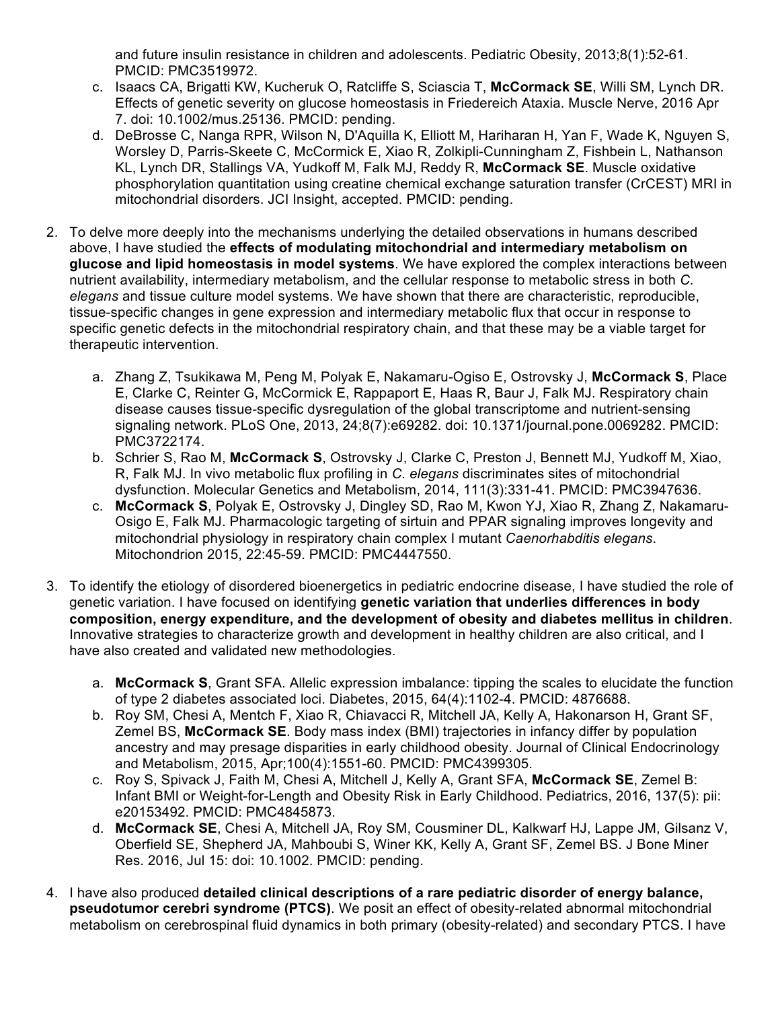and future insulin resistance in children and adolescents. Pediatric Obesity, 2013;8(1):52-61. PMCID: PMC3519972.

- c. Isaacs CA, Brigatti KW, Kucheruk O, Ratcliffe S, Sciascia T, **McCormack SE**, Willi SM, Lynch DR. Effects of genetic severity on glucose homeostasis in Friedereich Ataxia. Muscle Nerve, 2016 Apr 7. doi: 10.1002/mus.25136. PMCID: pending.
- d. DeBrosse C, Nanga RPR, Wilson N, D'Aquilla K, Elliott M, Hariharan H, Yan F, Wade K, Nguyen S, Worsley D, Parris-Skeete C, McCormick E, Xiao R, Zolkipli-Cunningham Z, Fishbein L, Nathanson KL, Lynch DR, Stallings VA, Yudkoff M, Falk MJ, Reddy R, **McCormack SE**. Muscle oxidative phosphorylation quantitation using creatine chemical exchange saturation transfer (CrCEST) MRI in mitochondrial disorders. JCI Insight, accepted. PMCID: pending.
- 2. To delve more deeply into the mechanisms underlying the detailed observations in humans described above, I have studied the **effects of modulating mitochondrial and intermediary metabolism on glucose and lipid homeostasis in model systems**. We have explored the complex interactions between nutrient availability, intermediary metabolism, and the cellular response to metabolic stress in both *C. elegans* and tissue culture model systems. We have shown that there are characteristic, reproducible, tissue-specific changes in gene expression and intermediary metabolic flux that occur in response to specific genetic defects in the mitochondrial respiratory chain, and that these may be a viable target for therapeutic intervention.
	- a. Zhang Z, Tsukikawa M, Peng M, Polyak E, Nakamaru-Ogiso E, Ostrovsky J, **McCormack S**, Place E, Clarke C, Reinter G, McCormick E, Rappaport E, Haas R, Baur J, Falk MJ. Respiratory chain disease causes tissue-specific dysregulation of the global transcriptome and nutrient-sensing signaling network. PLoS One, 2013, 24;8(7):e69282. doi: 10.1371/journal.pone.0069282. PMCID: PMC3722174.
	- b. Schrier S, Rao M, **McCormack S**, Ostrovsky J, Clarke C, Preston J, Bennett MJ, Yudkoff M, Xiao, R, Falk MJ. In vivo metabolic flux profiling in *C. elegans* discriminates sites of mitochondrial dysfunction. Molecular Genetics and Metabolism, 2014, 111(3):331-41. PMCID: PMC3947636.
	- c. **McCormack S**, Polyak E, Ostrovsky J, Dingley SD, Rao M, Kwon YJ, Xiao R, Zhang Z, Nakamaru-Osigo E, Falk MJ. Pharmacologic targeting of sirtuin and PPAR signaling improves longevity and mitochondrial physiology in respiratory chain complex I mutant *Caenorhabditis elegans*. Mitochondrion 2015, 22:45-59. PMCID: PMC4447550.
- 3. To identify the etiology of disordered bioenergetics in pediatric endocrine disease, I have studied the role of genetic variation. I have focused on identifying **genetic variation that underlies differences in body composition, energy expenditure, and the development of obesity and diabetes mellitus in children**. Innovative strategies to characterize growth and development in healthy children are also critical, and I have also created and validated new methodologies.
	- a. **McCormack S**, Grant SFA. Allelic expression imbalance: tipping the scales to elucidate the function of type 2 diabetes associated loci. Diabetes, 2015, 64(4):1102-4. PMCID: 4876688.
	- b. Roy SM, Chesi A, Mentch F, Xiao R, Chiavacci R, Mitchell JA, Kelly A, Hakonarson H, Grant SF, Zemel BS, **McCormack SE**. Body mass index (BMI) trajectories in infancy differ by population ancestry and may presage disparities in early childhood obesity. Journal of Clinical Endocrinology and Metabolism, 2015, Apr;100(4):1551-60. PMCID: PMC4399305.
	- c. Roy S, Spivack J, Faith M, Chesi A, Mitchell J, Kelly A, Grant SFA, **McCormack SE**, Zemel B: Infant BMI or Weight-for-Length and Obesity Risk in Early Childhood. Pediatrics, 2016, 137(5): pii: e20153492. PMCID: PMC4845873.
	- d. **McCormack SE**, Chesi A, Mitchell JA, Roy SM, Cousminer DL, Kalkwarf HJ, Lappe JM, Gilsanz V, Oberfield SE, Shepherd JA, Mahboubi S, Winer KK, Kelly A, Grant SF, Zemel BS. J Bone Miner Res. 2016, Jul 15: doi: 10.1002. PMCID: pending.
- 4. I have also produced **detailed clinical descriptions of a rare pediatric disorder of energy balance, pseudotumor cerebri syndrome (PTCS)**. We posit an effect of obesity-related abnormal mitochondrial metabolism on cerebrospinal fluid dynamics in both primary (obesity-related) and secondary PTCS. I have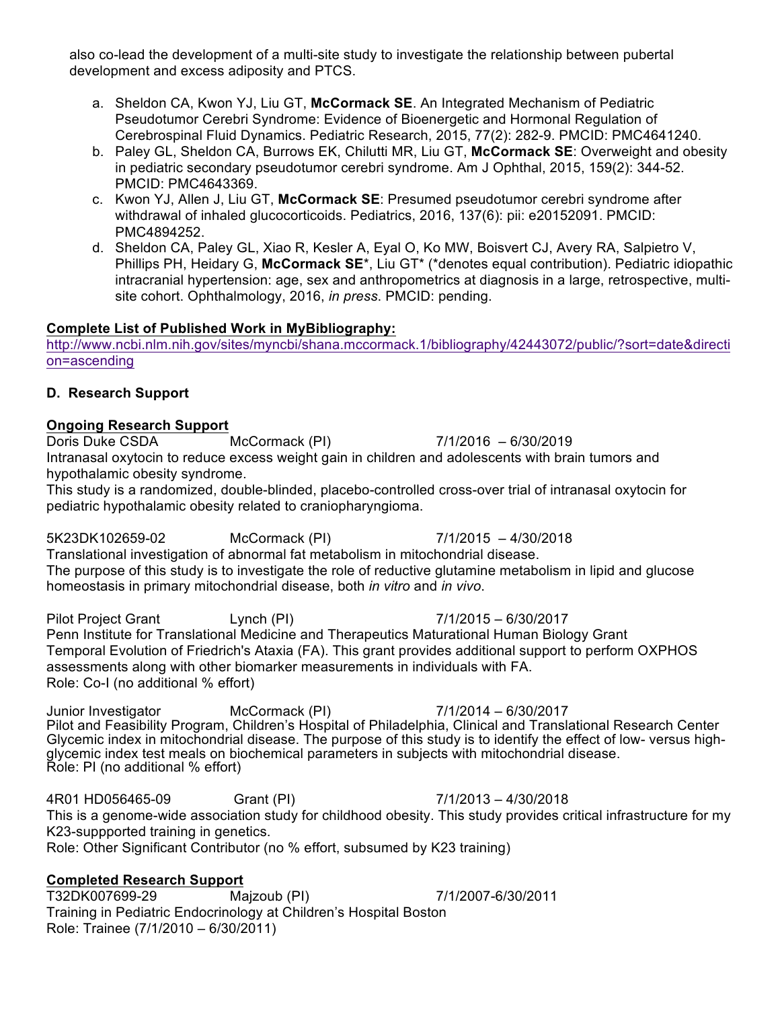also co-lead the development of a multi-site study to investigate the relationship between pubertal development and excess adiposity and PTCS.

- a. Sheldon CA, Kwon YJ, Liu GT, **McCormack SE**. An Integrated Mechanism of Pediatric Pseudotumor Cerebri Syndrome: Evidence of Bioenergetic and Hormonal Regulation of Cerebrospinal Fluid Dynamics. Pediatric Research, 2015, 77(2): 282-9. PMCID: PMC4641240.
- b. Paley GL, Sheldon CA, Burrows EK, Chilutti MR, Liu GT, **McCormack SE**: Overweight and obesity in pediatric secondary pseudotumor cerebri syndrome. Am J Ophthal, 2015, 159(2): 344-52. PMCID: PMC4643369.
- c. Kwon YJ, Allen J, Liu GT, **McCormack SE**: Presumed pseudotumor cerebri syndrome after withdrawal of inhaled glucocorticoids. Pediatrics, 2016, 137(6): pii: e20152091. PMCID: PMC4894252.
- d. Sheldon CA, Paley GL, Xiao R, Kesler A, Eyal O, Ko MW, Boisvert CJ, Avery RA, Salpietro V, Phillips PH, Heidary G, **McCormack SE**\*, Liu GT\* (\*denotes equal contribution). Pediatric idiopathic intracranial hypertension: age, sex and anthropometrics at diagnosis in a large, retrospective, multisite cohort. Ophthalmology, 2016, *in press*. PMCID: pending.

## **Complete List of Published Work in MyBibliography:**

http://www.ncbi.nlm.nih.gov/sites/myncbi/shana.mccormack.1/bibliography/42443072/public/?sort=date&directi on=ascending

## **D. Research Support**

### **Ongoing Research Support**

Doris Duke CSDA McCormack (PI) 7/1/2016 – 6/30/2019 Intranasal oxytocin to reduce excess weight gain in children and adolescents with brain tumors and hypothalamic obesity syndrome.

This study is a randomized, double-blinded, placebo-controlled cross-over trial of intranasal oxytocin for pediatric hypothalamic obesity related to craniopharyngioma.

5K23DK102659-02 McCormack (PI) 7/1/2015 – 4/30/2018

Translational investigation of abnormal fat metabolism in mitochondrial disease. The purpose of this study is to investigate the role of reductive glutamine metabolism in lipid and glucose homeostasis in primary mitochondrial disease, both *in vitro* and *in vivo*.

Pilot Project Grant Lynch (PI) 7/1/2015 – 6/30/2017 Penn Institute for Translational Medicine and Therapeutics Maturational Human Biology Grant Temporal Evolution of Friedrich's Ataxia (FA). This grant provides additional support to perform OXPHOS assessments along with other biomarker measurements in individuals with FA. Role: Co-I (no additional % effort)

Junior Investigator McCormack (PI) 7/1/2014 – 6/30/2017 Pilot and Feasibility Program, Children's Hospital of Philadelphia, Clinical and Translational Research Center Glycemic index in mitochondrial disease. The purpose of this study is to identify the effect of low- versus highglycemic index test meals on biochemical parameters in subjects with mitochondrial disease. Role: PI (no additional % effort)

4R01 HD056465-09 Grant (PI) 7/1/2013 – 4/30/2018 This is a genome-wide association study for childhood obesity. This study provides critical infrastructure for my K23-suppported training in genetics. Role: Other Significant Contributor (no % effort, subsumed by K23 training)

# **Completed Research Support**

T32DK007699-29 Majzoub (PI) 7/1/2007-6/30/2011 Training in Pediatric Endocrinology at Children's Hospital Boston Role: Trainee (7/1/2010 – 6/30/2011)